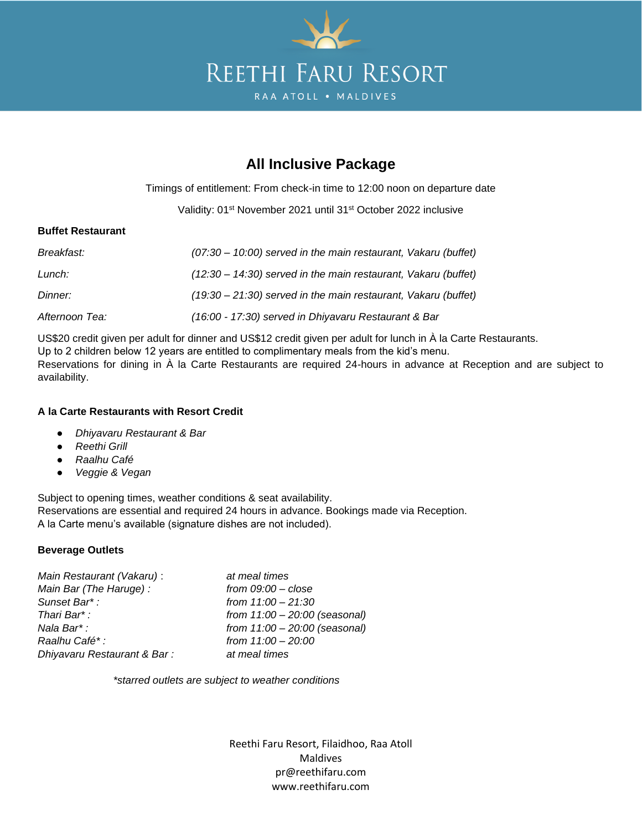

# **All Inclusive Package**

Timings of entitlement: From check-in time to 12:00 noon on departure date

Validity: 01<sup>st</sup> November 2021 until 31<sup>st</sup> October 2022 inclusive

## **Buffet Restaurant**

| Breakfast:     | $(07:30 - 10:00)$ served in the main restaurant, Vakaru (buffet) |
|----------------|------------------------------------------------------------------|
| Lunch:         | $(12:30 - 14:30)$ served in the main restaurant, Vakaru (buffet) |
| Dinner:        | $(19:30 - 21:30)$ served in the main restaurant, Vakaru (buffet) |
| Afternoon Tea: | (16:00 - 17:30) served in Dhiyavaru Restaurant & Bar             |

US\$20 credit given per adult for dinner and US\$12 credit given per adult for lunch in À la Carte Restaurants. Up to 2 children below 12 years are entitled to complimentary meals from the kid's menu. Reservations for dining in À la Carte Restaurants are required 24-hours in advance at Reception and are subject to availability.

### **A la Carte Restaurants with Resort Credit**

- *Dhiyavaru Restaurant & Bar*
- *Reethi Grill*
- *Raalhu Café*
- *Veggie & Vegan*

Subject to opening times, weather conditions & seat availability. Reservations are essential and required 24 hours in advance. Bookings made via Reception. A la Carte menu's available (signature dishes are not included).

### **Beverage Outlets**

*Main Restaurant (Vakaru)* : *at meal times Main Bar (The Haruge) : from 09:00 – close Sunset Bar\* : from 11:00 – 21:30 Raalhu Café\* : from 11:00 – 20:00 Dhiyavaru Restaurant & Bar : at meal times*

*Thari Bar\* : from 11:00 – 20:00 (seasonal) Nala Bar\* : from 11:00 – 20:00 (seasonal)*

*\*starred outlets are subject to weather conditions*

Reethi Faru Resort, Filaidhoo, Raa Atoll Maldives pr@reethifaru.com www.reethifaru.com